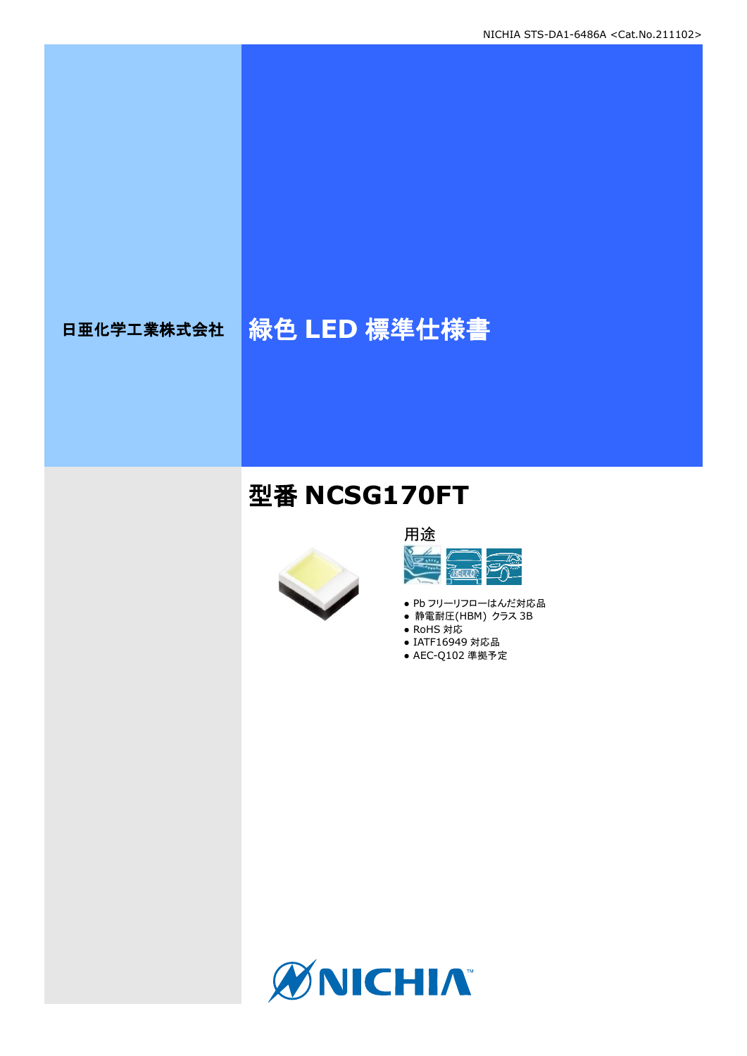# 日亜化学工業株式会社 <mark>緑色 LED 標準仕様書</mark>

## 型番 **NCSG170FT**



### 用途  $\frac{1}{2}$ <u>ज़ैं पर</u>

- Pb フリーリフローはんだ対応品
- 静電耐圧(HBM) クラス 3B
- RoHS 対応 ● IATF16949 対応品
- AEC-Q102 準拠予定

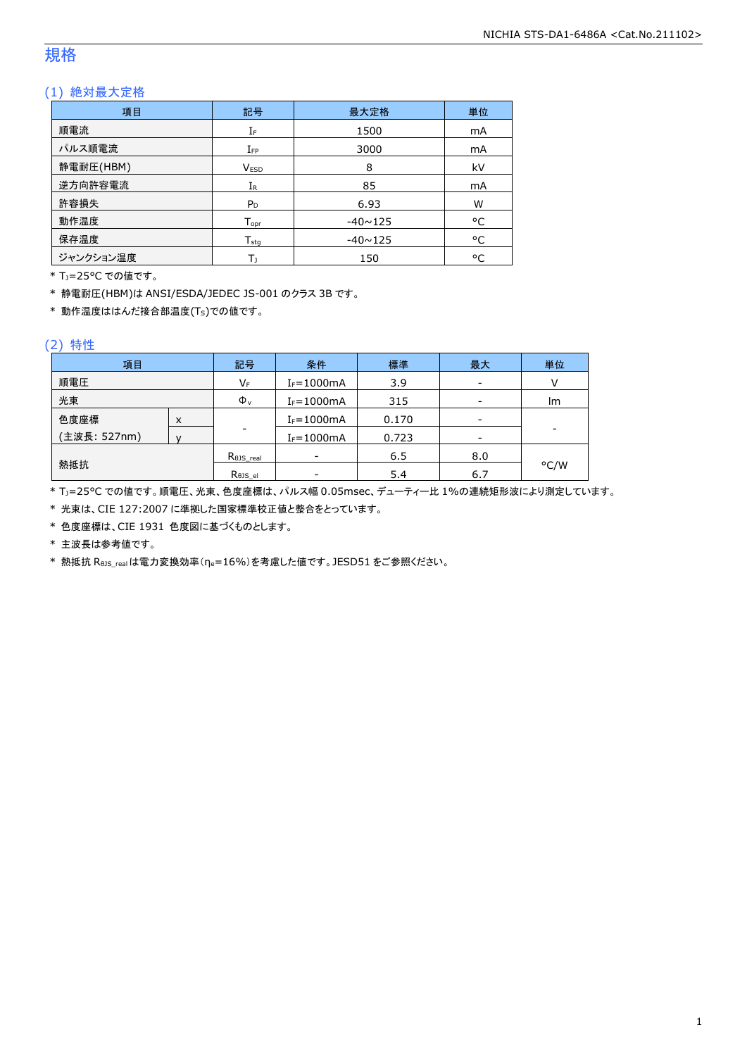### 規格

### (1) 絶対最大定格

| 項目        | 記号               | 最大定格           | 単位 |
|-----------|------------------|----------------|----|
| 順電流       | IF               | 1500           | mA |
| パルス順電流    | $I_{FP}$         | 3000           | mA |
| 静電耐圧(HBM) | <b>VESD</b>      | 8              | kV |
| 逆方向許容電流   | $I_{R}$          | 85             | mA |
| 許容損失      | $P_D$            | 6.93           | W  |
| 動作温度      | $T_{\text{opt}}$ | $-40 \sim 125$ | °C |
| 保存温度      | $T_{sta}$        | $-40 \sim 125$ | °C |
| ジャンクション温度 | Т١               | 150            | °C |

\* TJ=25°C での値です。

\* 静電耐圧(HBM)は ANSI/ESDA/JEDEC JS-001 のクラス 3B です。

 $*$  動作温度ははんだ接合部温度(Ts)での値です。

#### (2) 特性

| 項目           |   | 記号                   | 条件             | 標準    | 最大  | 単位   |
|--------------|---|----------------------|----------------|-------|-----|------|
| 順電圧          |   | VF                   | $I_F = 1000mA$ | 3.9   |     |      |
| 光束           |   | $\Phi_{\rm v}$       | $I_F = 1000mA$ | 315   |     | Im   |
| 色度座標         | X |                      | $I_F = 1000mA$ | 0.170 |     |      |
| (主波長: 527nm) |   | -                    | $I_F = 1000mA$ | 0.723 | -   |      |
|              |   | $R_{\theta}$ JS real | -              | 6.5   | 8.0 |      |
| 熱抵抗          |   | Rejs el              |                | 5.4   | 6.7 | °C/W |

\* Tj=25°C での値です。順電圧、光束、色度座標は、パルス幅 0.05msec、デューティー比 1%の連続矩形波により測定しています。

\* 光束は、CIE 127:2007 に準拠した国家標準校正値と整合をとっています。

\* 色度座標は、CIE 1931 色度図に基づくものとします。

\* 主波長は参考値です。

\* 熱抵抗 RθJS\_realは電力変換効率(ηe=16%)を考慮した値です。JESD51 をご参照ください。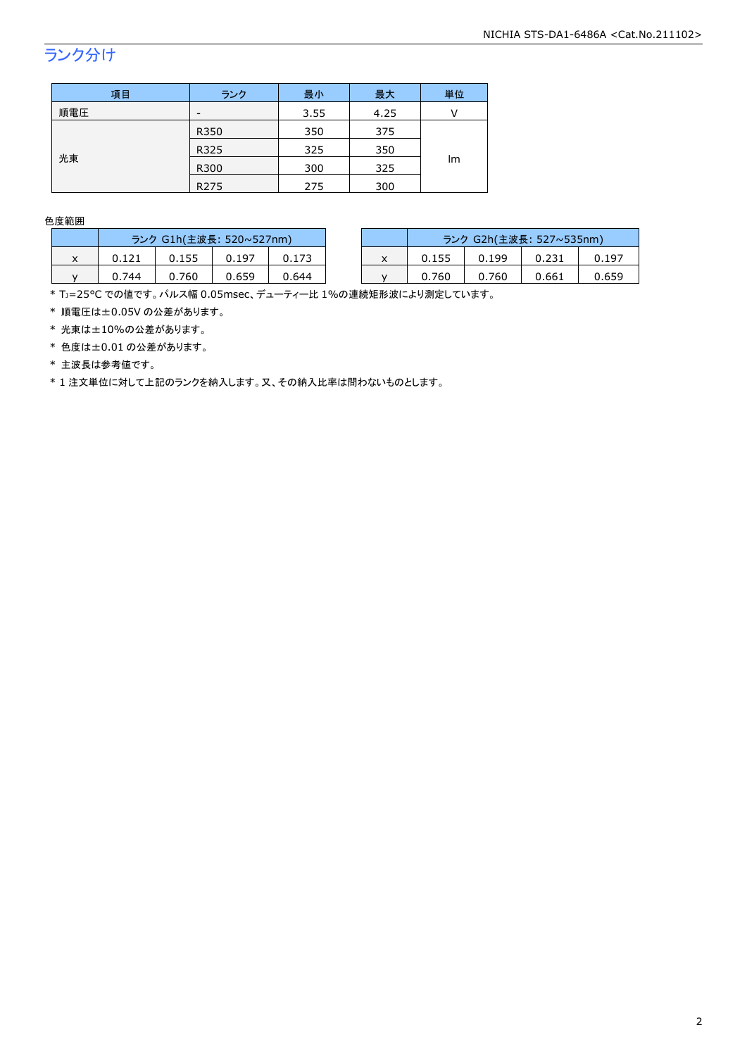## ランク分け

| 項目  | ランク              | 最小   | 最大   | 単位 |  |
|-----|------------------|------|------|----|--|
| 順電圧 | -                | 3.55 | 4.25 |    |  |
|     | R350             | 350  | 375  |    |  |
| 光束  | R325             | 325  | 350  |    |  |
|     | R300             | 300  | 325  | Im |  |
|     | R <sub>275</sub> | 275  | 300  |    |  |

#### 色度範囲

|           | ランク G1h(主波長: 520~527nm) |       |       |       |           | ランク G2h(主波長: 527~535nm) |       |       |       |
|-----------|-------------------------|-------|-------|-------|-----------|-------------------------|-------|-------|-------|
| $\lambda$ | 0.121                   | 0.155 | 0.197 |       | $\lambda$ | 0.155                   | 0.199 |       | 0.197 |
|           | 0.744                   | 0.760 | 0.659 | 0.644 |           | 0.760                   | 0.760 | 0.661 | 0.659 |

\* TJ=25°C での値です。パルス幅 0.05msec、デューティー比 1%の連続矩形波により測定しています。

\* 順電圧は±0.05V の公差があります。

\* 光束は±10%の公差があります。

\* 色度は±0.01 の公差があります。

\* 主波長は参考値です。

\* 1 注文単位に対して上記のランクを納入します。又、その納入比率は問わないものとします。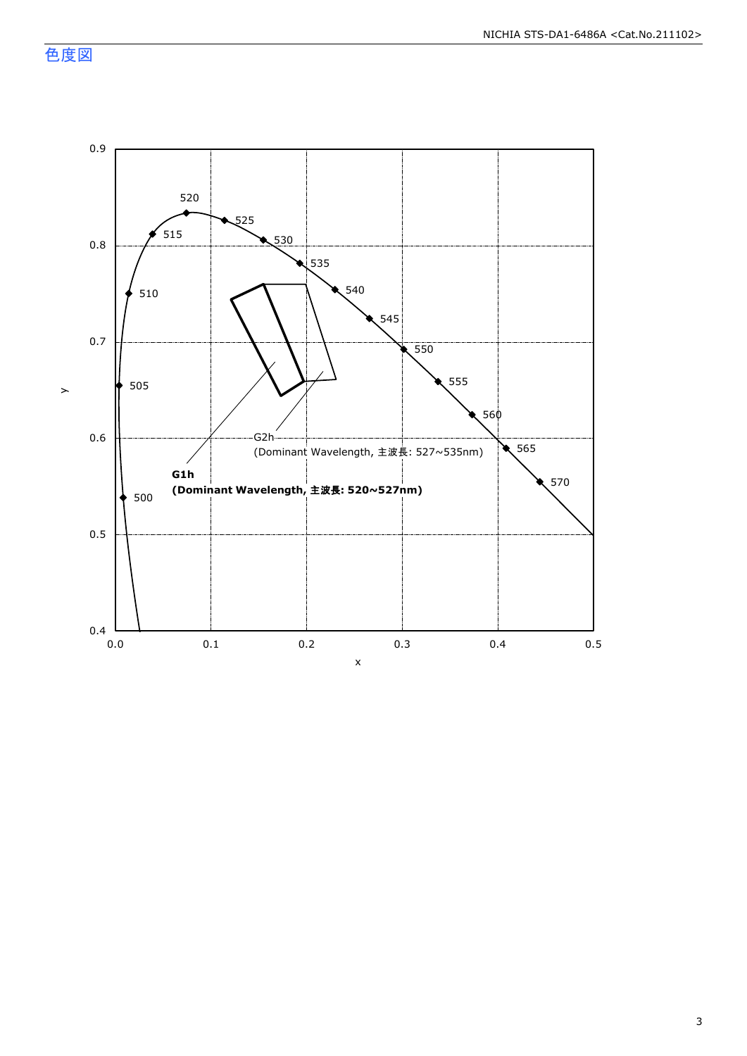色度図

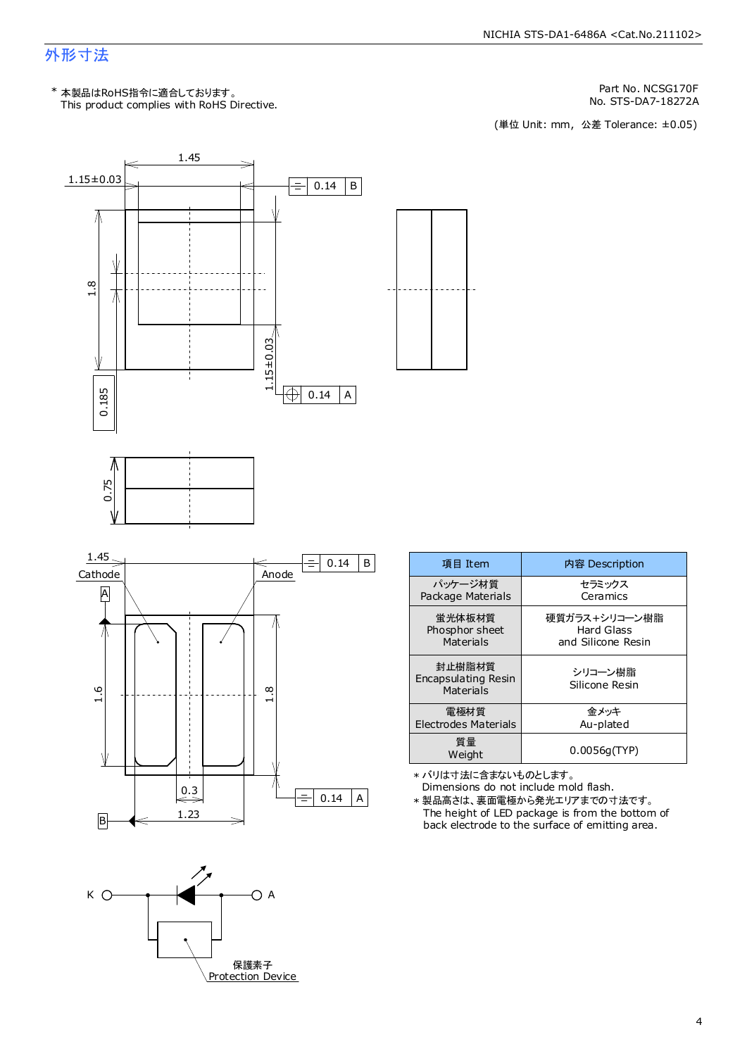### 外形寸法

Part No. NCSG170F

No. STS-DA7-18272A<br>(単位 Unit: mm, 公差 Tolerance: ±0.05)



| 項目 Item                                    | 内容 Description            |
|--------------------------------------------|---------------------------|
| パッケージ材質                                    | セラミックス                    |
| Package Materials                          | Ceramics                  |
| 蛍光体板材質                                     | 硬質ガラス+シリコーン樹脂             |
| Phosphor sheet                             | Hard Glass                |
| Materials                                  | and Silicone Resin        |
| 封止樹脂材質<br>Encapsulating Resin<br>Materials | シリコーン樹脂<br>Silicone Resin |
| 電極材質                                       | 金メッキ                      |
| Electrodes Materials                       | Au-plated                 |
| 質量<br>Weight                               | 0.0056q(TYP)              |

\* バリは寸法に含まないものとします。

Dimensions do not include mold flash. The height of LED package is from the bottom of back electrode to the surface of emitting area. \* 製品高さは、裏面電極から発光エリアまでの寸法です。

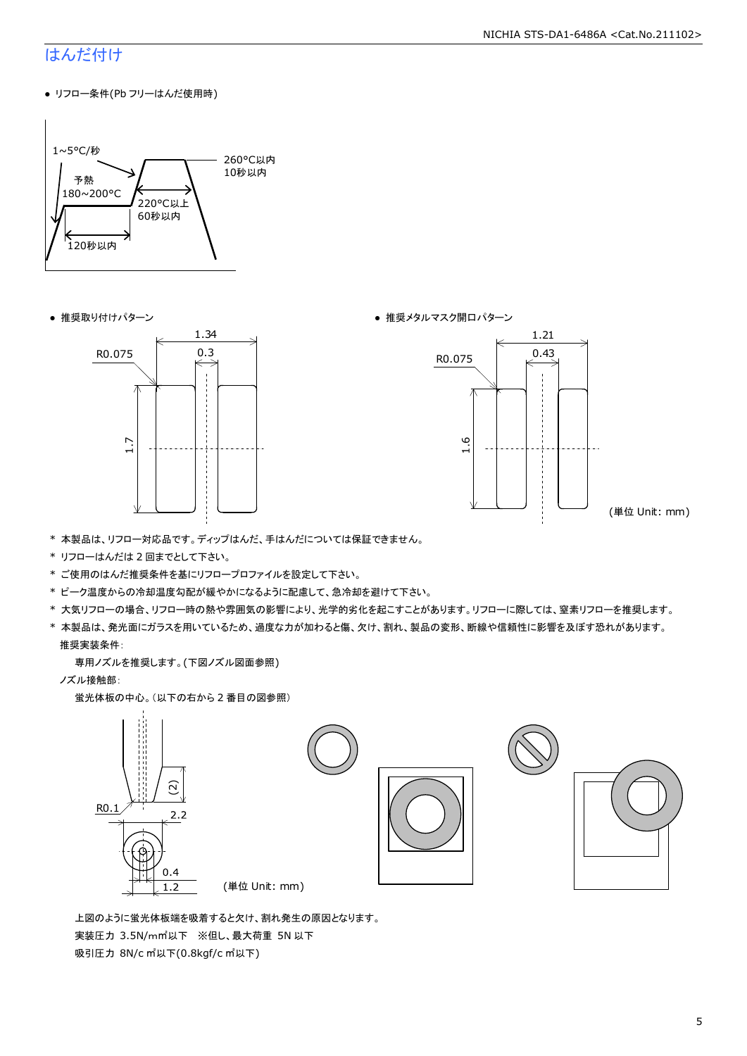#### NICHIA STS-DA1-6486A <Cat.No.211102>

### はんだ付け

● リフロー条件(Pb フリーはんだ使用時)







(単位 Unit: mm)

- \* 本製品は、リフロー対応品です。ディップはんだ、手はんだについては保証できません。
- \* リフローはんだは 2 回までとして下さい。
- \* ご使用のはんだ推奨条件を基にリフロープロファイルを設定して下さい。
- \* ピーク温度からの冷却温度勾配が緩やかになるように配慮して、急冷却を避けて下さい。
- \* 大気リフローの場合、リフロー時の熱や雰囲気の影響により、光学的劣化を起こすことがあります。リフローに際しては、窒素リフローを推奨します。
- \* 本製品は、発光面にガラスを用いているため、過度な力が加わると傷、欠け、割れ、製品の変形、断線や信頼性に影響を及ぼす恐れがあります。 推奨実装条件:

専用ノズルを推奨します。(下図ノズル図面参照)

ノズル接触部:

蛍光体板の中心。(以下の右から 2 番目の図参照)



 上図のように蛍光体板端を吸着すると欠け、割れ発生の原因となります。 実装圧力 3.5N/m㎡以下 ※但し、最大荷重 5N 以下 吸引圧力 8N/c ㎡以下(0.8kgf/c ㎡以下)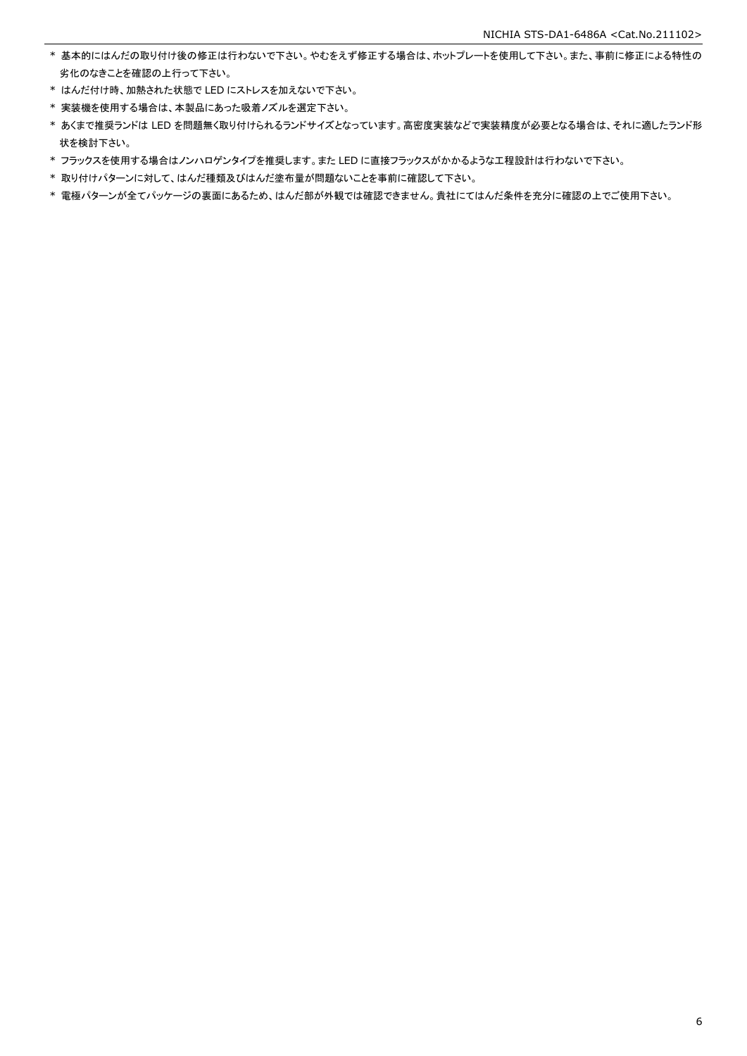- \* 基本的にはんだの取り付け後の修正は行わないで下さい。やむをえず修正する場合は、ホットプレートを使用して下さい。また、事前に修正による特性の 劣化のなきことを確認の上行って下さい。
- \* はんだ付け時、加熱された状態で LED にストレスを加えないで下さい。
- \* 実装機を使用する場合は、本製品にあった吸着ノズルを選定下さい。
- \* あくまで推奨ランドは LED を問題無く取り付けられるランドサイズとなっています。高密度実装などで実装精度が必要となる場合は、それに適したランド形 状を検討下さい。
- \* フラックスを使用する場合はノンハロゲンタイプを推奨します。また LED に直接フラックスがかかるような工程設計は行わないで下さい。
- \* 取り付けパターンに対して、はんだ種類及びはんだ塗布量が問題ないことを事前に確認して下さい。
- \* 電極パターンが全てパッケージの裏面にあるため、はんだ部が外観では確認できません。貴社にてはんだ条件を充分に確認の上でご使用下さい。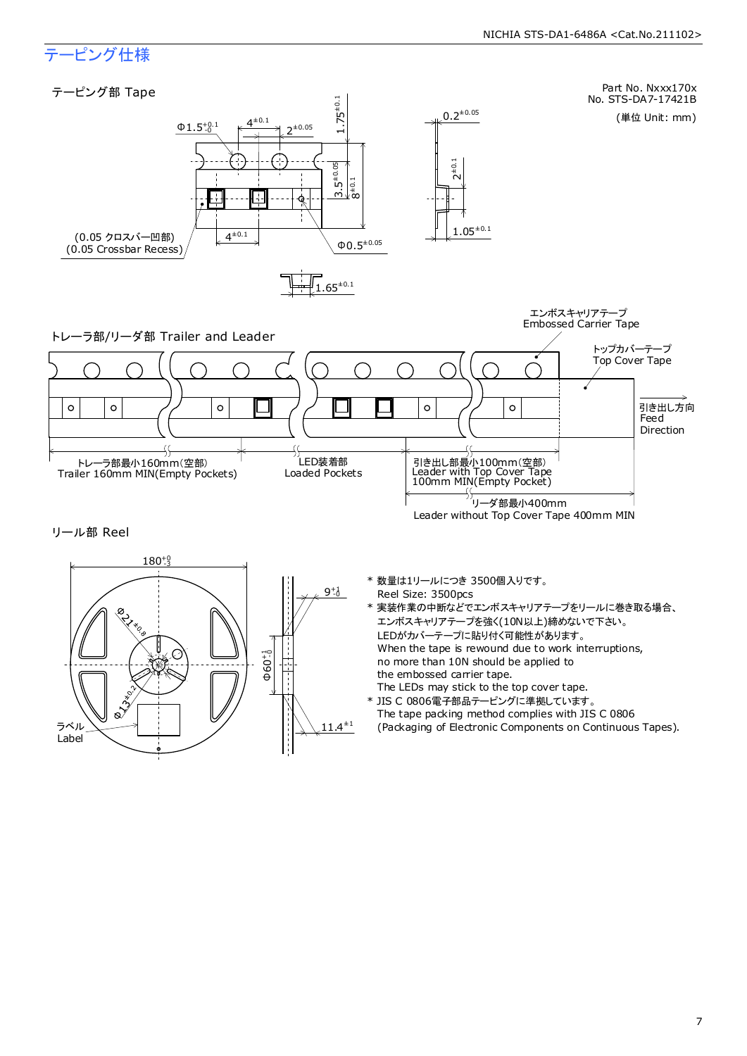### テーピング仕様

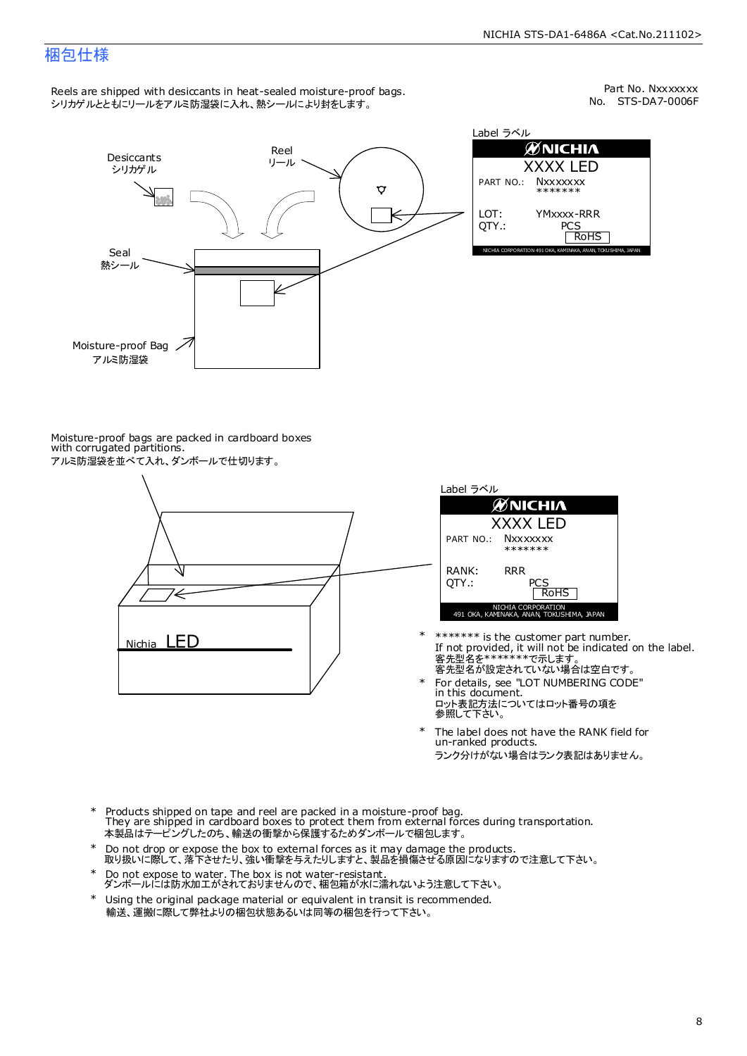### 梱包仕様

Reels are shipped with desiccants in heat-sealed moisture-proof bags. シリカゲルとともにリールをアルミ防湿袋に入れ、熱シールにより封をします。

No. STS-DA7-0006F Part No. Nxxxxxxx



Label ラベル  $\mathscr{D}$ NICHIA XXXX LED PART NO.: **Nxxxxxxx** \*\*\*\*\*\*\* LOT: YMxxxx-RRR QTY.: PCS<br>RoHS INAKA, ANAN, TOKUSHIMA, JA

Moisture-proof bags are packed in cardboard boxes with corrugated partitions. アルミ防湿袋を並べて入れ、ダンボールで仕切ります。





- 客先型名が設定されていない場合は空白です。 客先型名を\*\*\*\*\*\*\*で示します。 If not provided, it will not be indicated on the label. \*\*\*\*\*\*\* is the customer part number.
- For details, see "LOT NUMBERING CODE" in this document. ロット表記方法についてはロット番号の項を<br>参照して下さい。 \*
- The label does not have the RANK field for un-ranked products. ランク分けがない場合はランク表記はありません。 \*
- Products shipped on tape and reel are packed in a moisture-proof bag. They are shipped in cardboard boxes to protect them from external forces during transportation. 本製品はテーピングしたのち、輸送の衝撃から保護するためダンボールで梱包します。 \*
- Do not drop or expose the box to external forces as it may damage the products. 取り扱いに際して、落下させたり、強い衝撃を与えたりしますと、製品を損傷させる原因になりますので注意して下さい。 \*
- Do not expose to water. The box is not water-resistant. ダンボールには防水加工がされておりませんので、梱包箱が水に濡れないよう注意して下さい。 \*
- \* Using the original package material or equivalent in transit is recommended. 輸送、運搬に際して弊社よりの梱包状態あるいは同等の梱包を行って下さい。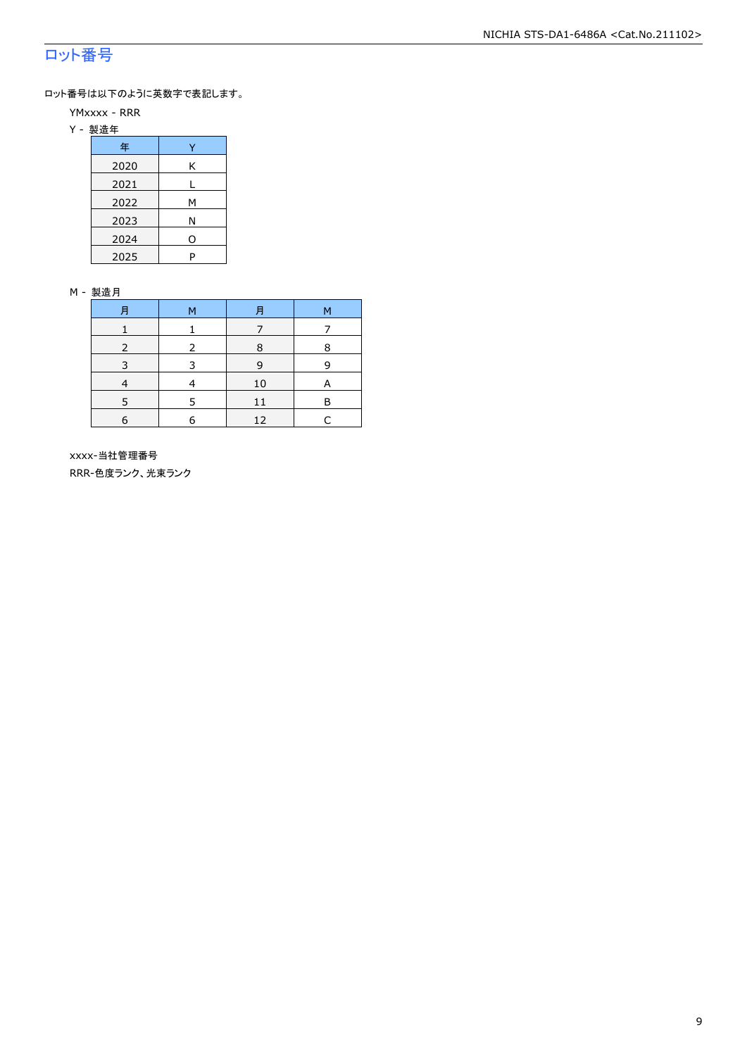### ロット番号

ロット番号は以下のように英数字で表記します。

- YMxxxx RRR
- Y 製造年

| 年    |   |
|------|---|
| 2020 | Κ |
| 2021 |   |
| 2022 | м |
| 2023 | Ν |
| 2024 | 0 |
| 2025 | P |

#### M - 製造月

| F          | M | F  | M |
|------------|---|----|---|
|            |   |    |   |
|            |   | 8  | 8 |
|            |   | q  |   |
|            |   | 10 | А |
|            | 5 | 11 | R |
| $\epsilon$ | 6 | 12 |   |

 xxxx-当社管理番号 RRR-色度ランク、光束ランク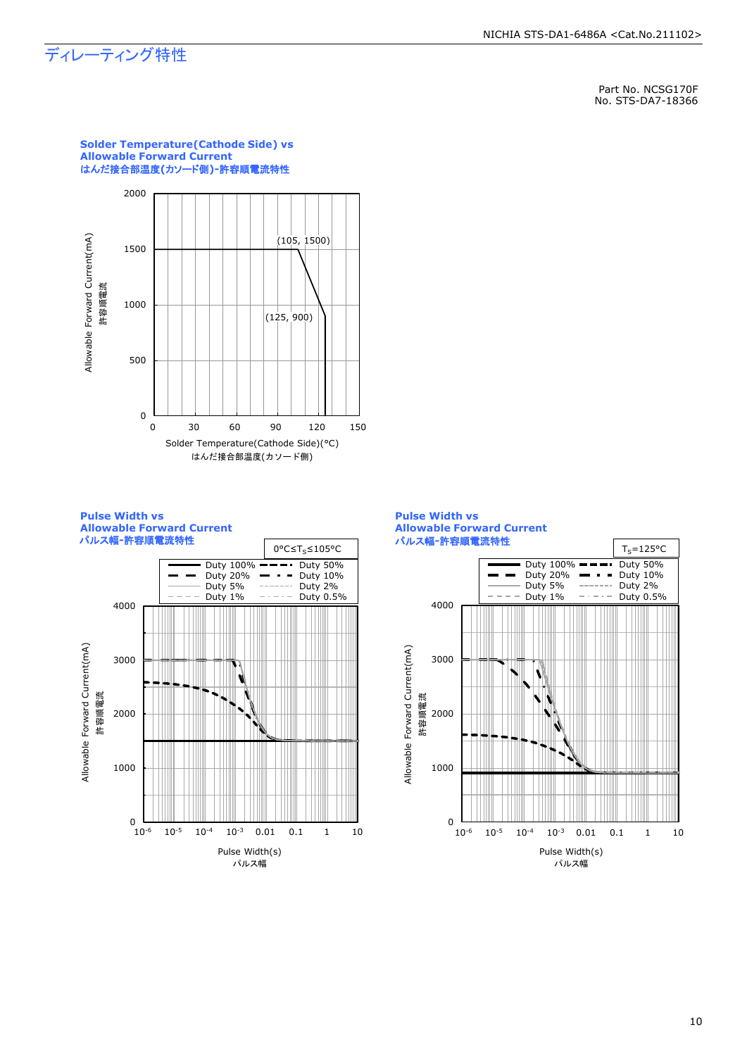### ディレーティング特性

Part No. NCSG170F No. STS-DA7-18366



**Solder Temperature(Cathode Side) vs** 

**Pulse Width vs Allowable Forward Current** パルス幅**-**許容順電流特性



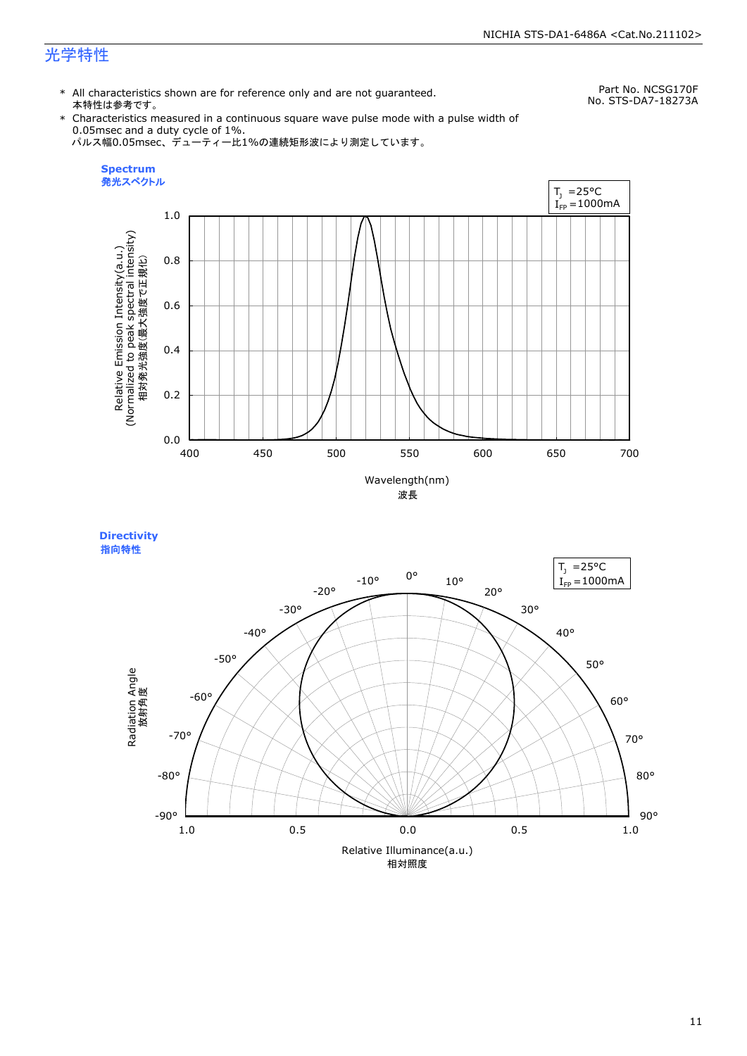### 光学特性

\* All characteristics shown are for reference only and are not guaranteed. 本特性は参考です。

Part No. NCSG170F No. STS-DA7-18273A

\* Characteristics measured in a continuous square wave pulse mode with a pulse width of 0.05msec and a duty cycle of 1%. パルス幅0.05msec、デューティー比1%の連続矩形波により測定しています。



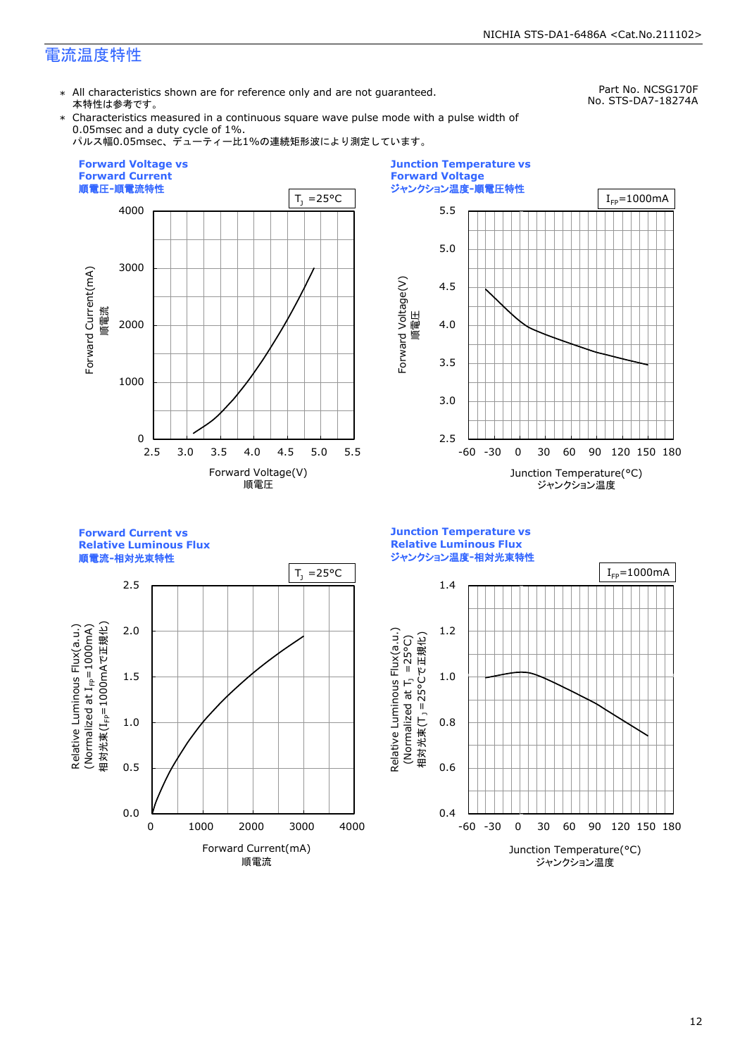### 電流温度特性

\* All characteristics shown are for reference only and are not guaranteed. 本特性は参考です。

Part No. NCSG170F No. STS-DA7-18274A

\* Characteristics measured in a continuous square wave pulse mode with a pulse width of 0.05msec and a duty cycle of 1%.





![](_page_12_Figure_7.jpeg)

**Forward Current vs Relative Luminous Flux**

![](_page_12_Figure_9.jpeg)

Relative Luminous Flux(a.u.)

Relative Luminous Flux(a.u.)

![](_page_12_Figure_10.jpeg)

![](_page_12_Figure_11.jpeg)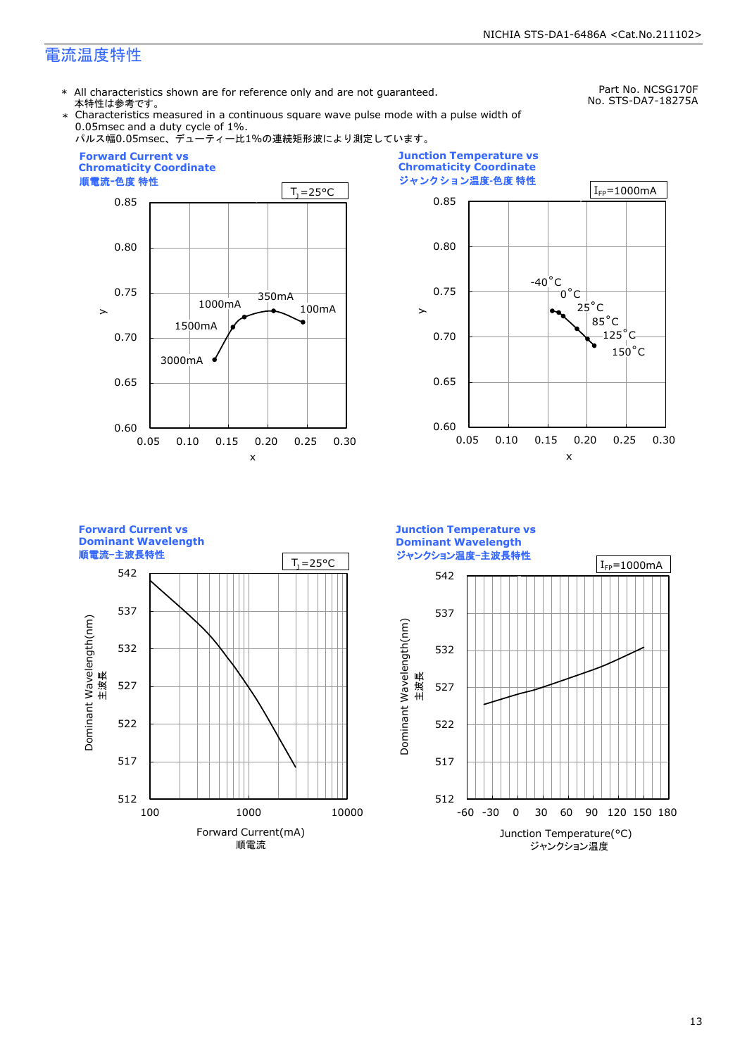### 電流温度特性

\* All characteristics shown are for reference only and are not guaranteed. 本特性は参考です。

Part No. NCSG170F No. STS-DA7-18275A

Characteristics measured in a continuous square wave pulse mode with a pulse width of 0.05msec and a duty cycle of 1%.

![](_page_13_Figure_5.jpeg)

![](_page_13_Figure_6.jpeg)

**Forward Current vs Dominant Wavelength** 順電流-主波長特性 512 517 522 527 532 537 542 100 1000 10000 Forward Current(mA) 順電流 Dominant Wavelength(nm)<br>主波長 Dominant Wavelength(nm)  $T_1 = 25^{\circ}C$ 

**Junction Temperature vs Dominant Wavelength** ジャンクション温度-主波長特性  $I_{FP}$ = 1000mA 542 537 Dominant Wavelength(nm) Dominant Wavelength(nm) 532 主波長 527 522 517 512 -60 -30 0 30 60 90 120 150 180

Junction Temperature(°C) ジャンクション温度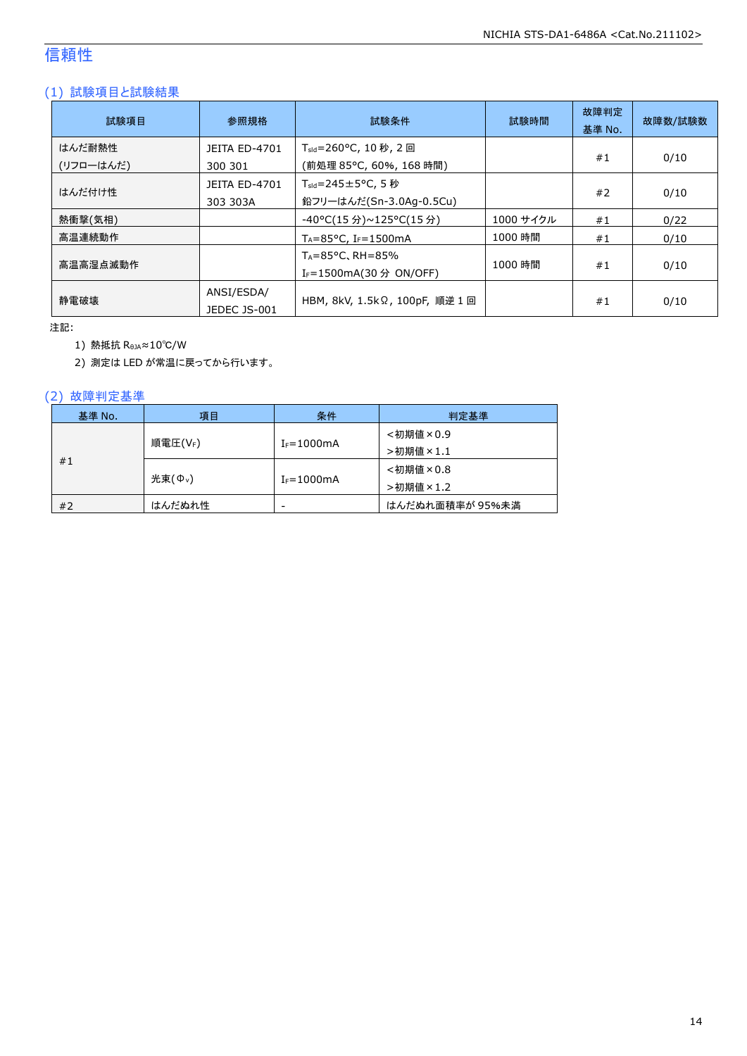### 信頼性

### (1) 試験項目と試験結果

| 試験項目                | 参照規格                             | 試験条件                                                                  | 試験時間      | 故障判定<br>基準 No. | 故障数/試験数 |
|---------------------|----------------------------------|-----------------------------------------------------------------------|-----------|----------------|---------|
| はんだ耐熱性<br>(リフローはんだ) | <b>JEITA ED-4701</b><br>300 301  | T <sub>sld</sub> =260°C, 10 秒, 2 回<br>(前処理 85℃, 60%, 168 時間)          |           | #1             | 0/10    |
| はんだ付け性              | <b>JEITA ED-4701</b><br>303 303A | $T_{\text{std}}$ =245±5°C, 5秒<br>鉛フリーはんだ(Sn-3.0Ag-0.5Cu)              |           | #2             | 0/10    |
| 熱衝撃(気相)             |                                  | -40°C(15 分)~125°C(15 分)                                               | 1000 サイクル | #1             | 0/22    |
| 高温連続動作              |                                  | $T_A = 85^{\circ}$ C, I <sub>F</sub> =1500mA                          | 1000 時間   | #1             | 0/10    |
| 高温高湿点滅動作            |                                  | $T_A = 85^{\circ}$ C, RH = 85%<br>I <sub>F</sub> =1500mA(30 分 ON/OFF) | 1000 時間   | #1             | 0/10    |
| 静雷破壊                | ANSI/ESDA/<br>JEDEC JS-001       | HBM, 8kV, 1.5kΩ, 100pF, 順逆 1 回                                        |           | #1             | 0/10    |

注記:

1) 熱抵抗 RθJA≈10℃/W

2) 測定は LED が常温に戻ってから行います。

### (2) 故障判定基準

| 基準 No. | 項目                  | 条件              | 判定基準            |
|--------|---------------------|-----------------|-----------------|
|        |                     |                 | <初期値×0.9        |
| #1     | 順電圧(VF)             | $I_F = 1000mA$  | >初期値×1.1        |
|        |                     |                 | <初期値×0.8        |
|        | 光束(Φ <sub>ν</sub> ) | $I_F = 1000$ mA | >初期値×1.2        |
| #2     | はんだぬれ性              | -               | はんだぬれ面積率が 95%未満 |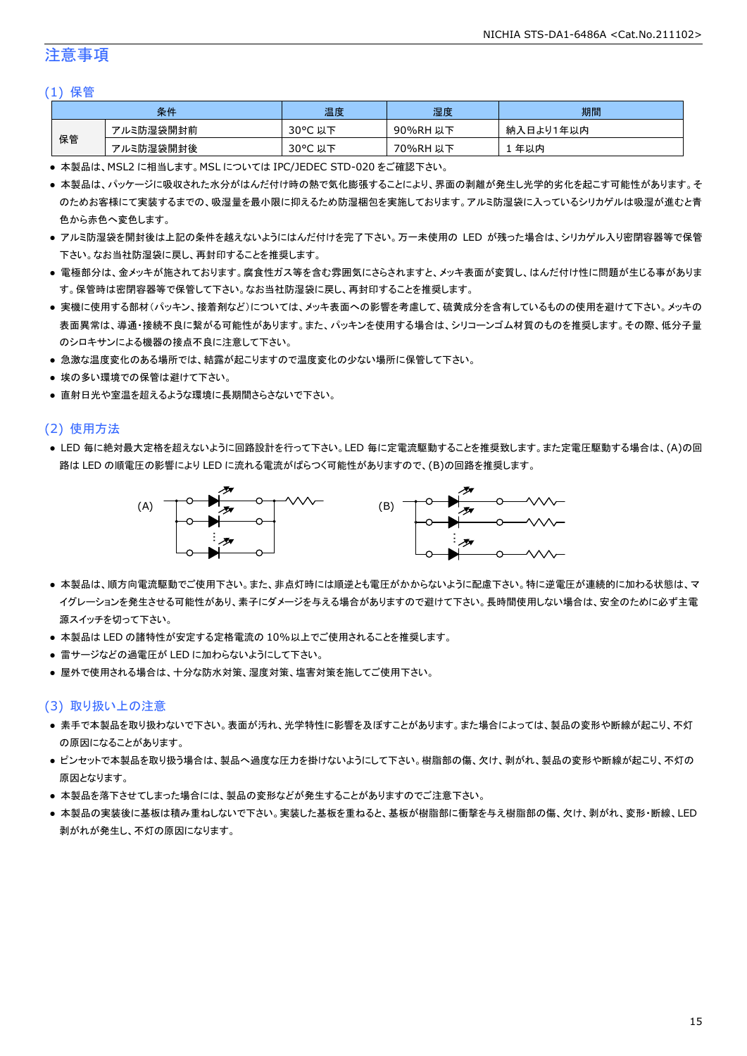### 注意事項

#### (1) 保管

| 条件 |           | 温度                   | 湿度       | 期間        |
|----|-----------|----------------------|----------|-----------|
|    | アルミ防湿袋開封前 | $30^{\circ}$ C<br>以下 | 90%RH 以下 | 納入日より1年以内 |
| 保管 | アルミ防湿袋開封後 | $30^{\circ}$ C<br>以下 | 70%RH 以下 | 年以内       |

● 本製品は、MSL2 に相当します。MSL については IPC/JEDEC STD-020 をご確認下さい。

- 本製品は、パッケージに吸収された水分がはんだ付け時の熱で気化膨張することにより、界面の剥離が発生し光学的劣化を起こす可能性があります。そ のためお客様にて実装するまでの、吸湿量を最小限に抑えるため防湿梱包を実施しております。アルミ防湿袋に入っているシリカゲルは吸湿が進むと青 色から赤色へ変色します。
- アルミ防湿袋を開封後は上記の条件を越えないようにはんだ付けを完了下さい。万一未使用の LED が残った場合は、シリカゲル入り密閉容器等で保管 下さい。なお当社防湿袋に戻し、再封印することを推奨します。
- 電極部分は、金メッキが施されております。腐食性ガス等を含む雰囲気にさらされますと、メッキ表面が変質し、はんだ付け性に問題が生じる事がありま す。保管時は密閉容器等で保管して下さい。なお当社防湿袋に戻し、再封印することを推奨します。
- 実機に使用する部材(パッキン、接着剤など)については、メッキ表面への影響を考慮して、硫黄成分を含有しているものの使用を避けて下さい。メッキの 表面異常は、導通・接続不良に繋がる可能性があります。また、パッキンを使用する場合は、シリコーンゴム材質のものを推奨します。その際、低分子量 のシロキサンによる機器の接点不良に注意して下さい。
- 急激な温度変化のある場所では、結露が起こりますので温度変化の少ない場所に保管して下さい。
- 埃の多い環境での保管は避けて下さい。
- 直射日光や室温を超えるような環境に長期間さらさないで下さい。

#### (2) 使用方法

● LED 毎に絶対最大定格を超えないように回路設計を行って下さい。LED 毎に定電流駆動することを推奨致します。また定電圧駆動する場合は、(A)の回 路は LED の順電圧の影響により LED に流れる電流がばらつく可能性がありますので、(B)の回路を推奨します。

![](_page_15_Figure_14.jpeg)

- 本製品は、順方向電流駆動でご使用下さい。また、非点灯時には順逆とも電圧がかからないように配慮下さい。特に逆電圧が連続的に加わる状態は、マ イグレーションを発生させる可能性があり、素子にダメージを与える場合がありますので避けて下さい。長時間使用しない場合は、安全のために必ず主電 源スイッチを切って下さい。
- 本製品は LED の諸特性が安定する定格電流の 10%以上でご使用されることを推奨します。
- 雷サージなどの過電圧が LED に加わらないようにして下さい。
- 屋外で使用される場合は、十分な防水対策、湿度対策、塩害対策を施してご使用下さい。

#### (3) 取り扱い上の注意

- 素手で本製品を取り扱わないで下さい。表面が汚れ、光学特性に影響を及ぼすことがあります。また場合によっては、製品の変形や断線が起こり、不灯 の原因になることがあります。
- ピンセットで本製品を取り扱う場合は、製品へ過度な圧力を掛けないようにして下さい。樹脂部の傷、欠け、剥がれ、製品の変形や断線が起こり、不灯の 原因となります。
- 本製品を落下させてしまった場合には、製品の変形などが発生することがありますのでご注意下さい。
- 本製品の実装後に基板は積み重ねしないで下さい。実装した基板を重ねると、基板が樹脂部に衝撃を与え樹脂部の傷、欠け、剥がれ、変形・断線、LED 剥がれが発生し、不灯の原因になります。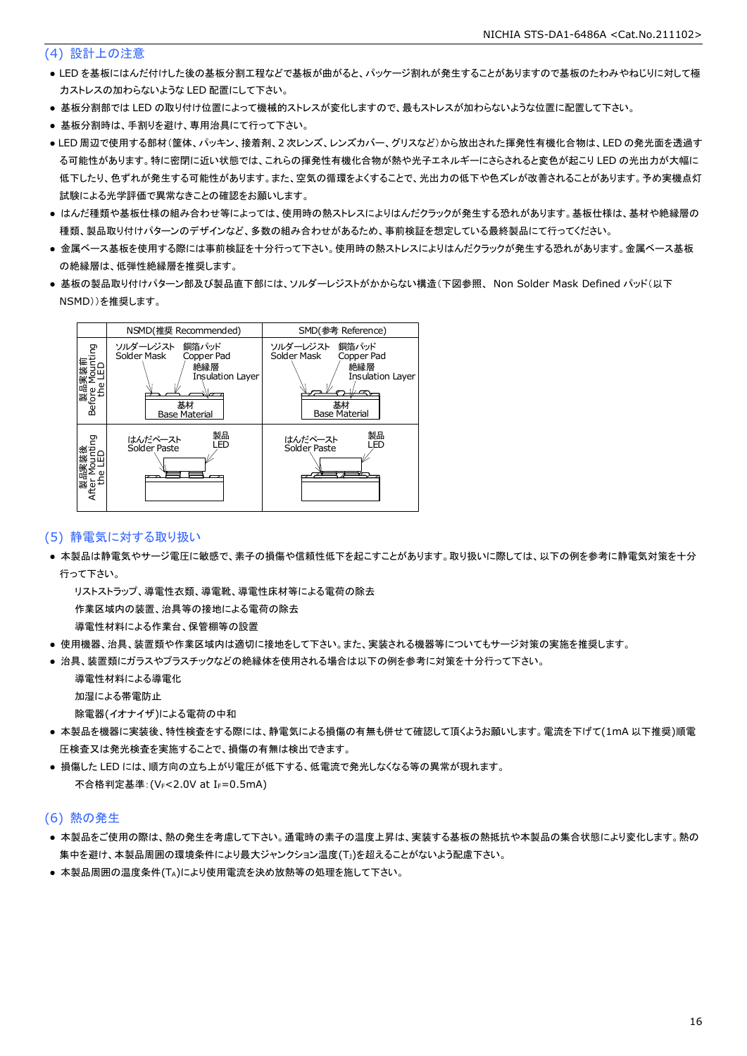#### (4) 設計上の注意

- LED を基板にはんだ付けした後の基板分割工程などで基板が曲がると、パッケージ割れが発生することがありますので基板のたわみやねじりに対して極 力ストレスの加わらないような LED 配置にして下さい。
- 基板分割部では LED の取り付け位置によって機械的ストレスが変化しますので、最もストレスが加わらないような位置に配置して下さい。
- 基板分割時は、手割りを避け、専用治具にて行って下さい。
- LED 周辺で使用する部材(筐体、パッキン、接着剤、2 次レンズ、レンズカバー、グリスなど)から放出された揮発性有機化合物は、LED の発光面を透過す る可能性があります。特に密閉に近い状態では、これらの揮発性有機化合物が熱や光子エネルギーにさらされると変色が起こり LED の光出力が大幅に 低下したり、色ずれが発生する可能性があります。また、空気の循環をよくすることで、光出力の低下や色ズレが改善されることがあります。予め実機点灯 試験による光学評価で異常なきことの確認をお願いします。
- はんだ種類や基板仕様の組み合わせ等によっては、使用時の熱ストレスによりはんだクラックが発生する恐れがあります。基板仕様は、基材や絶縁層の 種類、製品取り付けパターンのデザインなど、多数の組み合わせがあるため、事前検証を想定している最終製品にて行ってください。
- 金属ベース基板を使用する際には事前検証を十分行って下さい。使用時の熱ストレスによりはんだクラックが発生する恐れがあります。金属ベース基板 の絶縁層は、低弾性絶縁層を推奨します。
- 基板の製品取り付けパターン部及び製品直下部には、ソルダーレジストがかからない構造(下図参照、 Non Solder Mask Defined パッド(以下 NSMD))を推奨します。

![](_page_16_Figure_9.jpeg)

#### (5) 静電気に対する取り扱い

● 本製品は静電気やサージ電圧に敏感で、素子の損傷や信頼性低下を起こすことがあります。取り扱いに際しては、以下の例を参考に静電気対策を十分 行って下さい。

 リストストラップ、導電性衣類、導電靴、導電性床材等による電荷の除去 作業区域内の装置、治具等の接地による電荷の除去

導電性材料による作業台、保管棚等の設置

- 使用機器、治具、装置類や作業区域内は適切に接地をして下さい。また、実装される機器等についてもサージ対策の実施を推奨します。
- 治具、装置類にガラスやプラスチックなどの絶縁体を使用される場合は以下の例を参考に対策を十分行って下さい。

 導電性材料による導電化 加湿による帯電防止

除電器(イオナイザ)による電荷の中和

- 本製品を機器に実装後、特性検査をする際には、静電気による損傷の有無も併せて確認して頂くようお願いします。電流を下げて(1mA 以下推奨)順電 圧検査又は発光検査を実施することで、損傷の有無は検出できます。
- 損傷した LED には、順方向の立ち上がり電圧が低下する、低電流で発光しなくなる等の異常が現れます。 不合格判定基準: (VF<2.0V at IF=0.5mA)

#### (6) 熱の発生

- 本製品をご使用の際は、熱の発生を考慮して下さい。通電時の素子の温度上昇は、実装する基板の熱抵抗や本製品の集合状態により変化します。熱の 集中を避け、本製品周囲の環境条件により最大ジャンクション温度(TJ)を超えることがないよう配慮下さい。
- 本製品周囲の温度条件(TA)により使用電流を決め放熱等の処理を施して下さい。